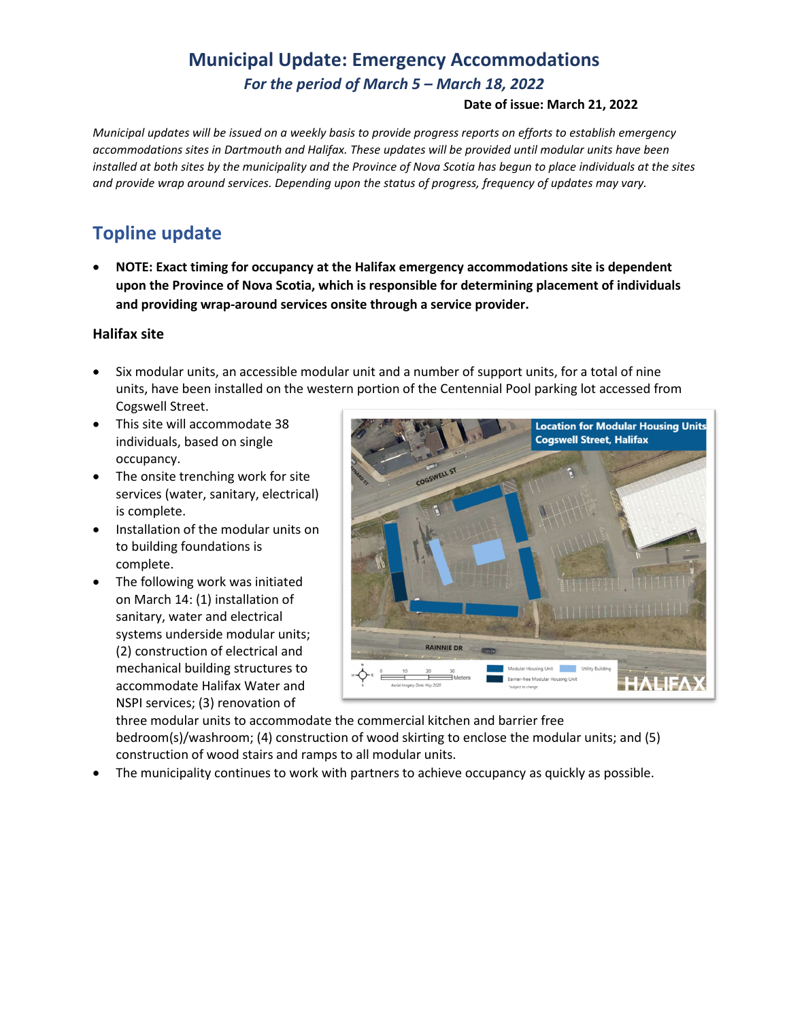## **Municipal Update: Emergency Accommodations** *For the period of March 5 – March 18, 2022*

#### **Date of issue: March 21, 2022**

*Municipal updates will be issued on a weekly basis to provide progress reports on efforts to establish emergency accommodations sites in Dartmouth and Halifax. These updates will be provided until modular units have been installed at both sites by the municipality and the Province of Nova Scotia has begun to place individuals at the sites and provide wrap around services. Depending upon the status of progress, frequency of updates may vary.* 

### **Topline update**

• **NOTE: Exact timing for occupancy at the Halifax emergency accommodations site is dependent upon the Province of Nova Scotia, which is responsible for determining placement of individuals and providing wrap-around services onsite through a service provider.**

#### **Halifax site**

- Six modular units, an accessible modular unit and a number of support units, for a total of nine units, have been installed on the western portion of the Centennial Pool parking lot accessed from Cogswell Street.
- This site will accommodate 38 individuals, based on single occupancy.
- The onsite trenching work for site services (water, sanitary, electrical) is complete.
- Installation of the modular units on to building foundations is complete.
- The following work was initiated on March 14: (1) installation of sanitary, water and electrical systems underside modular units; (2) construction of electrical and mechanical building structures to accommodate Halifax Water and NSPI services; (3) renovation of



three modular units to accommodate the commercial kitchen and barrier free bedroom(s)/washroom; (4) construction of wood skirting to enclose the modular units; and (5) construction of wood stairs and ramps to all modular units.

• The municipality continues to work with partners to achieve occupancy as quickly as possible.